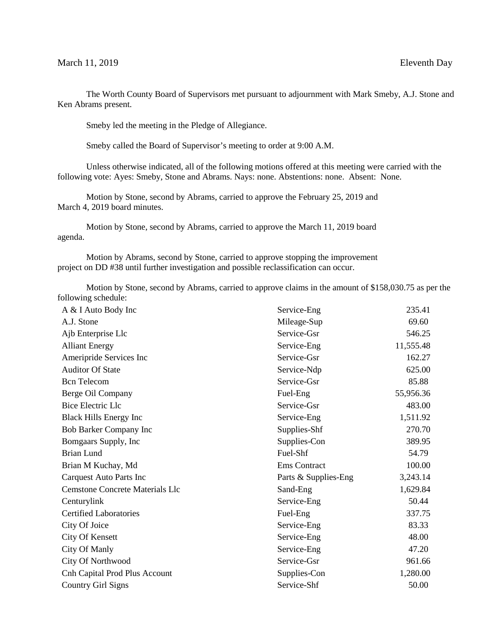The Worth County Board of Supervisors met pursuant to adjournment with Mark Smeby, A.J. Stone and Ken Abrams present.

Smeby led the meeting in the Pledge of Allegiance.

Smeby called the Board of Supervisor's meeting to order at 9:00 A.M.

Unless otherwise indicated, all of the following motions offered at this meeting were carried with the following vote: Ayes: Smeby, Stone and Abrams. Nays: none. Abstentions: none. Absent: None.

Motion by Stone, second by Abrams, carried to approve the February 25, 2019 and March 4, 2019 board minutes.

Motion by Stone, second by Abrams, carried to approve the March 11, 2019 board agenda.

Motion by Abrams, second by Stone, carried to approve stopping the improvement project on DD #38 until further investigation and possible reclassification can occur.

Motion by Stone, second by Abrams, carried to approve claims in the amount of \$158,030.75 as per the following schedule:

| A & I Auto Body Inc                    | Service-Eng          | 235.41    |
|----------------------------------------|----------------------|-----------|
| A.J. Stone                             | Mileage-Sup          | 69.60     |
| Ajb Enterprise Llc                     | Service-Gsr          | 546.25    |
| <b>Alliant Energy</b>                  | Service-Eng          | 11,555.48 |
| Ameripride Services Inc                | Service-Gsr          | 162.27    |
| <b>Auditor Of State</b>                | Service-Ndp          | 625.00    |
| <b>Bcn</b> Telecom                     | Service-Gsr          | 85.88     |
| Berge Oil Company                      | Fuel-Eng             | 55,956.36 |
| <b>Bice Electric Llc</b>               | Service-Gsr          | 483.00    |
| <b>Black Hills Energy Inc</b>          | Service-Eng          | 1,511.92  |
| <b>Bob Barker Company Inc</b>          | Supplies-Shf         | 270.70    |
| Bomgaars Supply, Inc.                  | Supplies-Con         | 389.95    |
| <b>Brian Lund</b>                      | Fuel-Shf             | 54.79     |
| Brian M Kuchay, Md                     | Ems Contract         | 100.00    |
| <b>Carquest Auto Parts Inc</b>         | Parts & Supplies-Eng | 3,243.14  |
| <b>Cemstone Concrete Materials Llc</b> | Sand-Eng             | 1,629.84  |
| Centurylink                            | Service-Eng          | 50.44     |
| <b>Certified Laboratories</b>          | Fuel-Eng             | 337.75    |
| City Of Joice                          | Service-Eng          | 83.33     |
| <b>City Of Kensett</b>                 | Service-Eng          | 48.00     |
| City Of Manly                          | Service-Eng          | 47.20     |
| City Of Northwood                      | Service-Gsr          | 961.66    |
| Cnh Capital Prod Plus Account          | Supplies-Con         | 1,280.00  |
| <b>Country Girl Signs</b>              | Service-Shf          | 50.00     |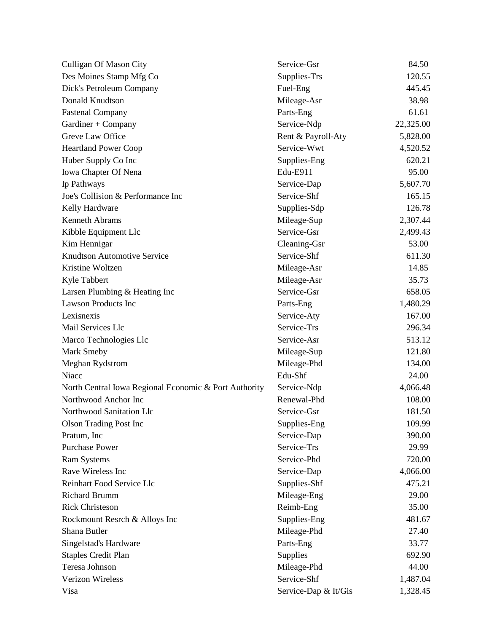| <b>Culligan Of Mason City</b>                         | Service-Gsr          | 84.50     |
|-------------------------------------------------------|----------------------|-----------|
| Des Moines Stamp Mfg Co                               | Supplies-Trs         | 120.55    |
| Dick's Petroleum Company                              | Fuel-Eng             | 445.45    |
| Donald Knudtson                                       | Mileage-Asr          | 38.98     |
| <b>Fastenal Company</b>                               | Parts-Eng            | 61.61     |
| Gardiner + Company                                    | Service-Ndp          | 22,325.00 |
| Greve Law Office                                      | Rent & Payroll-Aty   | 5,828.00  |
| <b>Heartland Power Coop</b>                           | Service-Wwt          | 4,520.52  |
| Huber Supply Co Inc                                   | Supplies-Eng         | 620.21    |
| Iowa Chapter Of Nena                                  | Edu-E911             | 95.00     |
| Ip Pathways                                           | Service-Dap          | 5,607.70  |
| Joe's Collision & Performance Inc                     | Service-Shf          | 165.15    |
| Kelly Hardware                                        | Supplies-Sdp         | 126.78    |
| <b>Kenneth Abrams</b>                                 | Mileage-Sup          | 2,307.44  |
| Kibble Equipment Llc                                  | Service-Gsr          | 2,499.43  |
| Kim Hennigar                                          | Cleaning-Gsr         | 53.00     |
| <b>Knudtson Automotive Service</b>                    | Service-Shf          | 611.30    |
| Kristine Woltzen                                      | Mileage-Asr          | 14.85     |
| Kyle Tabbert                                          | Mileage-Asr          | 35.73     |
| Larsen Plumbing & Heating Inc                         | Service-Gsr          | 658.05    |
| <b>Lawson Products Inc</b>                            | Parts-Eng            | 1,480.29  |
| Lexisnexis                                            | Service-Aty          | 167.00    |
| Mail Services Llc                                     | Service-Trs          | 296.34    |
| Marco Technologies Llc                                | Service-Asr          | 513.12    |
| Mark Smeby                                            | Mileage-Sup          | 121.80    |
| Meghan Rydstrom                                       | Mileage-Phd          | 134.00    |
| Niacc                                                 | Edu-Shf              | 24.00     |
| North Central Iowa Regional Economic & Port Authority | Service-Ndp          | 4,066.48  |
| Northwood Anchor Inc                                  | Renewal-Phd          | 108.00    |
| Northwood Sanitation Llc                              | Service-Gsr          | 181.50    |
| <b>Olson Trading Post Inc</b>                         | Supplies-Eng         | 109.99    |
| Pratum, Inc.                                          | Service-Dap          | 390.00    |
| <b>Purchase Power</b>                                 | Service-Trs          | 29.99     |
| <b>Ram Systems</b>                                    | Service-Phd          | 720.00    |
| Rave Wireless Inc                                     | Service-Dap          | 4,066.00  |
| Reinhart Food Service Llc                             | Supplies-Shf         | 475.21    |
| <b>Richard Brumm</b>                                  | Mileage-Eng          | 29.00     |
| <b>Rick Christeson</b>                                | Reimb-Eng            | 35.00     |
| Rockmount Resrch & Alloys Inc                         | Supplies-Eng         | 481.67    |
| Shana Butler                                          | Mileage-Phd          | 27.40     |
| Singelstad's Hardware                                 | Parts-Eng            | 33.77     |
| <b>Staples Credit Plan</b>                            | Supplies             | 692.90    |
| Teresa Johnson                                        | Mileage-Phd          | 44.00     |
| Verizon Wireless                                      | Service-Shf          | 1,487.04  |
| Visa                                                  | Service-Dap & It/Gis | 1,328.45  |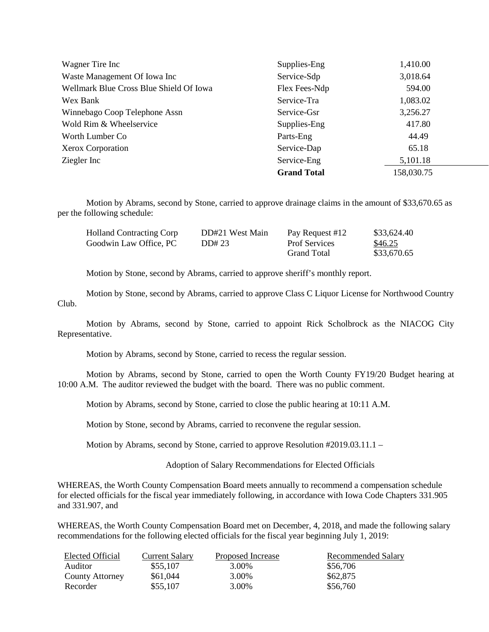| Wagner Tire Inc                         | Supplies-Eng       | 1,410.00   |
|-----------------------------------------|--------------------|------------|
| Waste Management Of Iowa Inc            | Service-Sdp        | 3,018.64   |
| Wellmark Blue Cross Blue Shield Of Iowa | Flex Fees-Ndp      | 594.00     |
| Wex Bank                                | Service-Tra        | 1,083.02   |
| Winnebago Coop Telephone Assn           | Service-Gsr        | 3,256.27   |
| Wold Rim & Wheelservice                 | Supplies-Eng       | 417.80     |
| Worth Lumber Co.                        | Parts-Eng          | 44.49      |
| Xerox Corporation                       | Service-Dap        | 65.18      |
| Ziegler Inc                             | Service-Eng        | 5,101.18   |
|                                         | <b>Grand Total</b> | 158,030.75 |

Motion by Abrams, second by Stone, carried to approve drainage claims in the amount of \$33,670.65 as per the following schedule:

| <b>Holland Contracting Corp</b> | DD#21 West Main | Pay Request #12      | \$33,624.40 |
|---------------------------------|-----------------|----------------------|-------------|
| Goodwin Law Office. PC          | DD#23           | <b>Prof Services</b> | \$46.25     |
|                                 |                 | <b>Grand Total</b>   | \$33,670.65 |

Motion by Stone, second by Abrams, carried to approve sheriff's monthly report.

Motion by Stone, second by Abrams, carried to approve Class C Liquor License for Northwood Country Club.

Motion by Abrams, second by Stone, carried to appoint Rick Scholbrock as the NIACOG City Representative.

Motion by Abrams, second by Stone, carried to recess the regular session.

Motion by Abrams, second by Stone, carried to open the Worth County FY19/20 Budget hearing at 10:00 A.M. The auditor reviewed the budget with the board. There was no public comment.

Motion by Abrams, second by Stone, carried to close the public hearing at 10:11 A.M.

Motion by Stone, second by Abrams, carried to reconvene the regular session.

Motion by Abrams, second by Stone, carried to approve Resolution #2019.03.11.1 –

Adoption of Salary Recommendations for Elected Officials

WHEREAS, the Worth County Compensation Board meets annually to recommend a compensation schedule for elected officials for the fiscal year immediately following, in accordance with Iowa Code Chapters 331.905 and 331.907, and

WHEREAS, the Worth County Compensation Board met on December, 4, 2018, and made the following salary recommendations for the following elected officials for the fiscal year beginning July 1, 2019:

| Elected Official       | Current Salary | Proposed Increase | Recommended Salary |
|------------------------|----------------|-------------------|--------------------|
| Auditor                | \$55,107       | 3.00%             | \$56,706           |
| <b>County Attorney</b> | \$61,044       | 3.00%             | \$62,875           |
| Recorder               | \$55,107       | 3.00%             | \$56,760           |